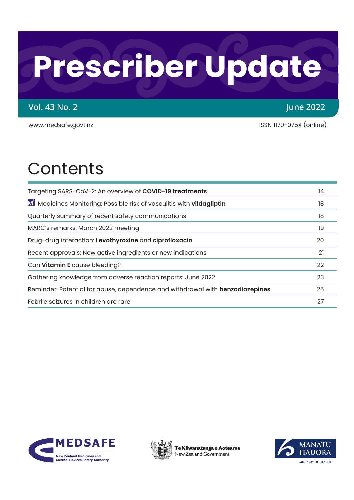# **Prescriber Update**

## Vol. 43 No. 2 June 2022

[www.medsafe.govt.nz](http://www.medsafe.govt.nz) intervalsed and the state of the ISSN 1179-075X (online)

## **Contents**

| Targeting SARS-CoV-2: An overview of COVID-19 treatments                                  | 14 |
|-------------------------------------------------------------------------------------------|----|
| M <sup>'</sup> Medicines Monitoring: Possible risk of vasculitis with <b>vildagliptin</b> | 18 |
| Quarterly summary of recent safety communications                                         | 18 |
| MARC's remarks: March 2022 meeting                                                        | 19 |
| Drug-drug interaction: Levothyroxine and ciprofloxacin                                    | 20 |
| Recent approvals: New active ingredients or new indications                               | 21 |
| Can Vitamin E cause bleeding?                                                             | 22 |
| Gathering knowledge from adverse reaction reports: June 2022                              | 23 |
| Reminder: Potential for abuse, dependence and withdrawal with benzodiazepines             | 25 |
| Febrile seizures in children are rare                                                     | 27 |





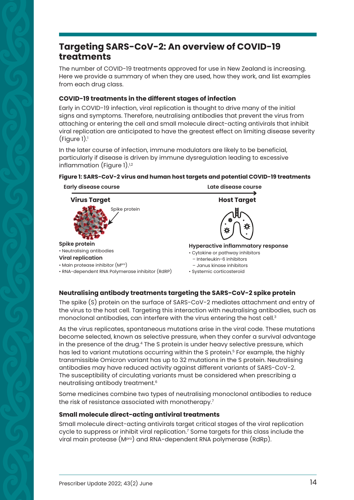## <span id="page-1-0"></span>**Targeting SARS-CoV-2: An overview of COVID-19 treatments**

The number of COVID-19 treatments approved for use in New Zealand is increasing. Here we provide a summary of when they are used, how they work, and list examples from each drug class.

#### **COVID-19 treatments in the different stages of infection**

Early in COVID-19 infection, viral replication is thought to drive many of the initial signs and symptoms. Therefore, neutralising antibodies that prevent the virus from attaching or entering the cell and small molecule direct-acting antivirals that inhibit viral replication are anticipated to have the greatest effect on limiting disease severity  $(Figure 1).$ 

In the later course of infection, immune modulators are likely to be beneficial, particularly if disease is driven by immune dysregulation leading to excessive inflammation (Figure 1). $1,2$ 

#### **Early disease course Late disease course Spike protein** • Neutralising antibodies **Viral replication** • Main protease inhibitor (Mpro) • RNA-dependent RNA Polymerase inhibitor (RdRP) **Virus Target Allen Accords** Host Target Spike protein **Hyperactive inflammatory response** • Cytokine or pathway inhibitors – Interleukin-6 inhibitors – Janus kinase inhibitors • Systemic corticosteroid

#### **Figure 1: SARS-CoV-2 virus and human host targets and potential COVID-19 treatments**

#### **Neutralising antibody treatments targeting the SARS-CoV-2 spike protein**

The spike (S) protein on the surface of SARS-CoV-2 mediates attachment and entry of the virus to the host cell. Targeting this interaction with neutralising antibodies, such as monoclonal antibodies, can interfere with the virus entering the host cell.<sup>3</sup>

As the virus replicates, spontaneous mutations arise in the viral code. These mutations become selected, known as selective pressure, when they confer a survival advantage in the presence of the drug.<sup>4</sup> The S protein is under heavy selective pressure, which has led to variant mutations occurring within the S protein.<sup>5</sup> For example, the highly transmissible Omicron variant has up to 32 mutations in the S protein. Neutralising antibodies may have reduced activity against different variants of SARS-CoV-2. The susceptibility of circulating variants must be considered when prescribing a neutralising antibody treatment.6

Some medicines combine two types of neutralising monoclonal antibodies to reduce the risk of resistance associated with monotherapy.<sup>7</sup>

#### **Small molecule direct-acting antiviral treatments**

Small molecule direct-acting antivirals target critical stages of the viral replication cycle to suppress or inhibit viral replication.' Some targets for this class include the viral main protease (MPro) and RNA-dependent RNA polymerase (RdRp).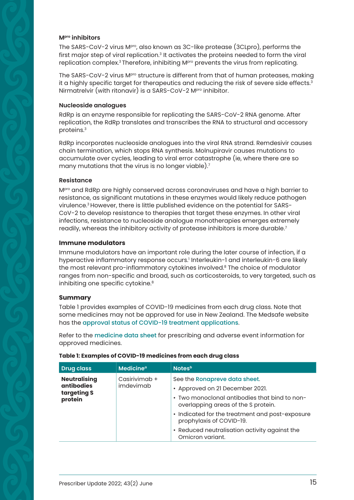#### **Mpro inhibitors**

The SARS-CoV-2 virus M<sup>pro</sup>, also known as 3C-like protease (3CLpro), performs the first major step of viral replication.<sup>3</sup> It activates the proteins needed to form the viral replication complex.<sup>3</sup> Therefore, inhibiting M<sup>pro</sup> prevents the virus from replicating.

The SARS-CoV-2 virus M<sup>pro</sup> structure is different from that of human proteases, making it a highly specific target for therapeutics and reducing the risk of severe side effects.<sup>3</sup> Nirmatrelvir (with ritonavir) is a SARS-CoV-2 M<sup>pro</sup> inhibitor.

#### **Nucleoside analogues**

RdRp is an enzyme responsible for replicating the SARS-CoV-2 RNA genome. After replication, the RdRp translates and transcribes the RNA to structural and accessory proteins.3

RdRp incorporates nucleoside analogues into the viral RNA strand. Remdesivir causes chain termination, which stops RNA synthesis. Molnupiravir causes mutations to accumulate over cycles, leading to viral error catastrophe (ie, where there are so many mutations that the virus is no longer viable).7

#### **Resistance**

M<sup>pro</sup> and RdRp are highly conserved across coronaviruses and have a high barrier to resistance, as significant mutations in these enzymes would likely reduce pathogen virulence.3 However, there is little published evidence on the potential for SARS-CoV-2 to develop resistance to therapies that target these enzymes. In other viral infections, resistance to nucleoside analogue monotherapies emerges extremely readily, whereas the inhibitory activity of protease inhibitors is more durable. $\prime$ 

#### **Immune modulators**

Immune modulators have an important role during the later course of infection, if a hyperactive inflammatory response occurs.' Interleukin-1 and interleukin-6 are likely the most relevant pro-inflammatory cytokines involved.<sup>8</sup> The choice of modulator ranges from non-specific and broad, such as corticosteroids, to very targeted, such as inhibiting one specific cytokine.<sup>8</sup>

#### **Summary**

Table 1 provides examples of COVID-19 medicines from each drug class. Note that some medicines may not be approved for use in New Zealand. The Medsafe website has the [approval status of COVID-19 treatment applications](https://www.medsafe.govt.nz/COVID-19/treatment-applications.asp).

Refer to the [medicine data sheet](https://www.medsafe.govt.nz/Medicines/infoSearch.asp) for prescribing and adverse event information for approved medicines.

| <b>Drug class</b>                                                                                | <b>Medicine<sup>a</sup></b>                                                                                                                              | Notes <sup>b</sup>                                                          |
|--------------------------------------------------------------------------------------------------|----------------------------------------------------------------------------------------------------------------------------------------------------------|-----------------------------------------------------------------------------|
| <b>Neutralising</b><br>Casirivimab +<br><b>antibodies</b><br>imdevimab<br>targeting S<br>protein | See the Ronapreve data sheet.<br>• Approved on 21 December 2021.<br>• Two monoclonal antibodies that bind to non-<br>overlapping areas of the S protein. |                                                                             |
|                                                                                                  |                                                                                                                                                          | • Indicated for the treatment and post-exposure<br>prophylaxis of COVID-19. |
|                                                                                                  |                                                                                                                                                          | • Reduced neutralisation activity against the<br>Omicron variant.           |

#### **Table 1: Examples of COVID-19 medicines from each drug class**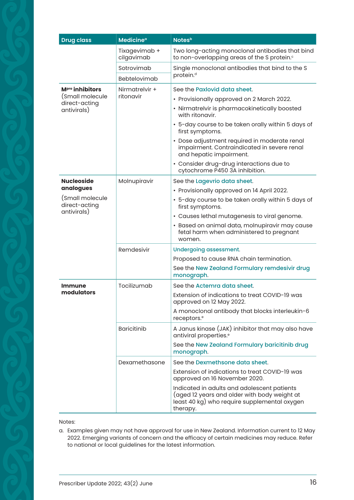| <b>Drug class</b>                               | <b>Medicine<sup>a</sup></b> | <b>Notes</b> <sup>b</sup>                                                                                                                               |
|-------------------------------------------------|-----------------------------|---------------------------------------------------------------------------------------------------------------------------------------------------------|
|                                                 | Tixagevimab +<br>cilgavimab | Two long-acting monoclonal antibodies that bind<br>to non-overlapping areas of the S protein. <sup>c</sup>                                              |
|                                                 | Sotrovimab                  | Single monoclonal antibodies that bind to the S                                                                                                         |
|                                                 | Bebtelovimab                | protein. <sup>d</sup>                                                                                                                                   |
| M <sup>pro</sup> inhibitors                     | Nirmatrelvir +              | See the Paxlovid data sheet.                                                                                                                            |
| (Small molecule<br>direct-acting                | ritonavir                   | • Provisionally approved on 2 March 2022.                                                                                                               |
| antivirals)                                     |                             | • Nirmatrelvir is pharmacokinetically boosted<br>with ritonavir.                                                                                        |
|                                                 |                             | • 5-day course to be taken orally within 5 days of<br>first symptoms.                                                                                   |
|                                                 |                             | · Dose adjustment required in moderate renal<br>impairment. Contraindicated in severe renal<br>and hepatic impairment.                                  |
|                                                 |                             | • Consider drug-drug interactions due to<br>cytochrome P450 3A inhibition.                                                                              |
| <b>Nucleoside</b>                               | Molnupiravir                | See the Lagevrio data sheet.                                                                                                                            |
| analogues                                       |                             | • Provisionally approved on 14 April 2022.                                                                                                              |
| (Small molecule<br>direct-acting<br>antivirals) |                             | • 5-day course to be taken orally within 5 days of<br>first symptoms.                                                                                   |
|                                                 |                             | • Causes lethal mutagenesis to viral genome.                                                                                                            |
|                                                 |                             | · Based on animal data, molnupiravir may cause<br>fetal harm when administered to pregnant<br>women.                                                    |
|                                                 | Remdesivir                  | <b>Undergoing assessment.</b>                                                                                                                           |
|                                                 |                             | Proposed to cause RNA chain termination.                                                                                                                |
|                                                 |                             | See the New Zealand Formulary remdesivir drug<br>monograph.                                                                                             |
| <b>Immune</b>                                   | Tocilizumab                 | See the Actemra data sheet.                                                                                                                             |
| modulators                                      |                             | Extension of indications to treat COVID-19 was<br>approved on 12 May 2022.                                                                              |
|                                                 |                             | A monoclonal antibody that blocks interleukin-6<br>receptors. <sup>e</sup>                                                                              |
|                                                 | <b>Baricitinib</b>          | A Janus kinase (JAK) inhibitor that may also have<br>antiviral properties. <sup>e</sup>                                                                 |
|                                                 |                             | See the New Zealand Formulary baricitinib drug<br>monograph.                                                                                            |
|                                                 | Dexamethasone               | See the Dexmethsone data sheet.                                                                                                                         |
|                                                 |                             | Extension of indications to treat COVID-19 was<br>approved on 16 November 2020.                                                                         |
|                                                 |                             | Indicated in adults and adolescent patients<br>(aged 12 years and older with body weight at<br>least 40 kg) who require supplemental oxygen<br>therapy. |

Notes:

a. Examples given may not have approval for use in New Zealand. Information current to 12 May 2022. Emerging variants of concern and the efficacy of certain medicines may reduce. Refer to national or local guidelines for the latest information.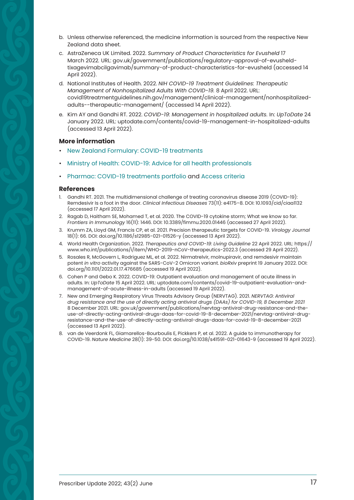- b. Unless otherwise referenced, the medicine information is sourced from the respective New Zealand data sheet.
- c. AstraZeneca UK Limited. 2022. *Summary of Product Characteristics for Evusheld* 17 March 2022*.* URL: [gov.uk/government/publications/regulatory-approval-of-evusheld](http://gov.uk/government/publications/regulatory-approval-of-evusheld-tixagevimabcilgavimab/summary-of-product-characteristics-for-evusheld)[tixagevimabcilgavimab/summary-of-product-characteristics-for-evusheld](http://gov.uk/government/publications/regulatory-approval-of-evusheld-tixagevimabcilgavimab/summary-of-product-characteristics-for-evusheld) (accessed 14 April 2022).
- d. National Institutes of Health. 2022. *NIH COVID-19 Treatment Guidelines: Therapeutic Management of Nonhospitalized Adults With COVID-19.* 8 April 2022. URL: [covid19treatmentguidelines.nih.gov/management/clinical-management/nonhospitalized](http://covid19treatmentguidelines.nih.gov/management/clinical-management/nonhospitalized-adults--therapeutic-management/)[adults--therapeutic-management/](http://covid19treatmentguidelines.nih.gov/management/clinical-management/nonhospitalized-adults--therapeutic-management/) (accessed 14 April 2022).
- e. Kim AY and Gandhi RT. 2022. *COVID-19: Management in hospitalized adults.* In: *UpToDate* 24 January 2022. URL: [uptodate.com/contents/covid-19-management-in-hospitalized-adults](http://uptodate.com/contents/covid-19-management-in-hospitalized-adults) (accessed 13 April 2022).

#### **More information**

- [New Zealand Formulary: COVID-19 treatments](https://nzf.org.nz/nzf_71143)
- [Ministry of Health: COVID-19: Advice for all health professionals](https://www.health.govt.nz/covid-19-novel-coronavirus/covid-19-information-health-professionals/covid-19-advice-all-health-professionals)
- [Pharmac: COVID-19 treatments portfolio](https://pharmac.govt.nz/news-and-resources/covid19/treatcovid/) and [Access criteria](https://pharmac.govt.nz/news-and-resources/covid19/covid-oral-antivirals/)

- 1. Gandhi RT. 2021. The multidimensional challenge of treating coronavirus disease 2019 (COVID-19): Remdesivir Is a foot in the door. *Clinical Infectious Diseases* 73(11): e4175–8. DOI: 10.1093/cid/ciaa1132 (accessed 17 April 2022).
- 2. Ragab D, Haitham SE, Mohamed T, et al. 2020. The COVID-19 cytokine storm; What we know so far. *Frontiers in Immunology* 16(11): 1446. DOI: 10.3389/fimmu.2020.01446 (accessed 27 April 2022).
- 3. Krumm ZA, Lloyd GM, Francis CP, et al. 2021. Precision therapeutic targets for COVID-19. *Virology Journal* 18(1): 66. DOI: doi.org/10.1186/s12985-021-01526-y (accessed 13 April 2022).
- 4. World Health Organization. 2022. *Therapeutics and COVID-19: Living Guideline* 22 April 2022. URL: [https://](https://www.who.int/publications/i/item/WHO-2019-nCoV-therapeutics-2022.3) [www.who.int/publications/i/item/WHO-2019-nCoV-therapeutics-2022.3](https://www.who.int/publications/i/item/WHO-2019-nCoV-therapeutics-2022.3) (accessed 29 April 2022).
- 5. Rosales R, McGovern L, Rodriguez ML, et al. 2022. Nirmatrelvir, molnupiravir, and remdesivir maintain potent *in vitro* activity against the SARS-CoV-2 Omicron variant. *bioRxiv* preprint 19 January 2022. DOI: doi.org/10.1101/2022.01.17.476685 (accessed 19 April 2022).
- 6. Cohen P and Gebo K. 2022. COVID-19: Outpatient evaluation and management of acute illness in adults. In: *UpToDate* 15 April 2022. URL: [uptodate.com/contents/covid-19-outpatient-evaluation-and](http://uptodate.com/contents/covid-19-outpatient-evaluation-and-management-of-acute-illness-in-adults)[management-of-acute-illness-in-adults](http://uptodate.com/contents/covid-19-outpatient-evaluation-and-management-of-acute-illness-in-adults) (accessed 19 April 2022).
- 7. New and Emerging Respiratory Virus Threats Advisory Group (NERVTAG). 2021. *NERVTAG: Antiviral drug resistance and the use of directly acting antiviral drugs (DAAs) for COVID-19, 8 December 2021*  8 December 2021. URL: gov.uk/government/publications/nervtag-antiviral-drug-resistance-and-the[use-of-directly-acting-antiviral-drugs-daas-for-covid-19-8-december-2021/nervtag-antiviral-drug](https://www.gov.uk/government/publications/nervtag-antiviral-drug-resistance-and-the-use-of-directly-acting-antiviral-drugs-daas-for-covid-19-8-december-2021/nervtag-antiviral-drug-resistance-and-the-use-of-directly-acting-antiviral-drugs-daas-for-covid-19-8-december-2021)resistance-and-the-use-of-directly-acting-antiviral-drugs-daas-for-covid-19-8-december-2021 (accessed 13 April 2022).
- 8. van de Veerdonk FL, Giamarellos-Bourboulis E, Pickkers P, et al. 2022. A guide to immunotherapy for COVID-19. *Nature Medicine* 28(1): 39-50. DOI: doi.org/10.1038/s41591-021-01643-9 (accessed 19 April 2022).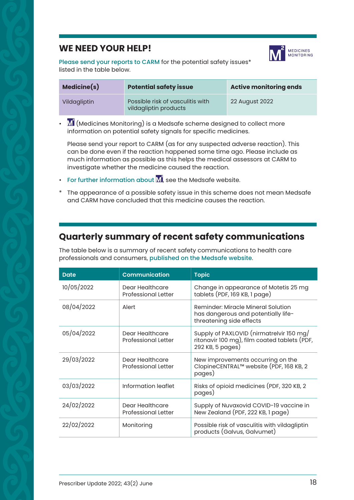## <span id="page-5-0"></span>**WE NEED YOUR HELP!**



[Please send your reports to CARM](https://nzphvc.otago.ac.nz/reporting/) for the potential safety issues\* listed in the table below.

| Medicine(s)  | <b>Potential safety issue</b>                             | <b>Active monitoring ends</b> |
|--------------|-----------------------------------------------------------|-------------------------------|
| Vildagliptin | Possible risk of vasculitis with<br>vildagliptin products | 22 August 2022                |

 $\cdot$   $\blacksquare'$  (Medicines Monitoring) is a Medsafe scheme designed to collect more information on potential safety signals for specific medicines.

Please send your report to CARM (as for any suspected adverse reaction). This can be done even if the reaction happened some time ago. Please include as much information as possible as this helps the medical assessors at CARM to investigate whether the medicine caused the reaction.

- [For further information about](http://www.medsafe.govt.nz/profs/M2MedicinesMonitoring.asp)  $\overline{M}^2$ , see the Medsafe website.
- The appearance of a possible safety issue in this scheme does not mean Medsafe and CARM have concluded that this medicine causes the reaction.

## **Quarterly summary of recent safety communications**

The table below is a summary of recent safety communications to health care professionals and consumers, [published on the Medsafe website](https://www.medsafe.govt.nz/index.asp).

| <b>Date</b> | <b>Communication</b>                          | <b>Topic</b>                                                                                                 |
|-------------|-----------------------------------------------|--------------------------------------------------------------------------------------------------------------|
| 10/05/2022  | Dear Healthcare<br><b>Professional Letter</b> | Change in appearance of Motetis 25 mg<br>tablets (PDF, 169 KB, 1 page)                                       |
| 08/04/2022  | Alert                                         | Reminder: Miracle Mineral Solution<br>has dangerous and potentially life-<br>threatening side effects        |
| 05/04/2022  | Dear Healthcare<br><b>Professional Letter</b> | Supply of PAXLOVID (nirmatrelvir 150 mg/<br>ritonavir 100 mg), film coated tablets (PDF,<br>292 KB, 5 pages) |
| 29/03/2022  | Dear Healthcare<br><b>Professional Letter</b> | New improvements occurring on the<br>ClopineCENTRAL™ website (PDF, 168 KB, 2<br>pages)                       |
| 03/03/2022  | Information leaflet                           | Risks of opioid medicines (PDF, 320 KB, 2)<br>pages)                                                         |
| 24/02/2022  | Dear Healthcare<br><b>Professional Letter</b> | Supply of Nuvaxovid COVID-19 vaccine in<br>New Zealand (PDF, 222 KB, 1 page)                                 |
| 22/02/2022  | Monitoring                                    | Possible risk of vasculitis with vildagliptin<br>products (Galvus, Galvumet)                                 |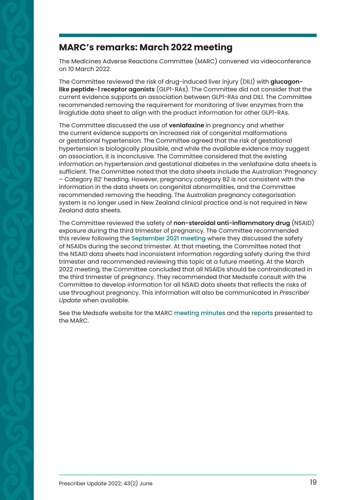## <span id="page-6-0"></span>**MARC's remarks: March 2022 meeting**

The Medicines Adverse Reactions Committee (MARC) convened via videoconference on 10 March 2022.

The Committee reviewed the risk of drug-induced liver injury (DILI) with **glucagonlike peptide-1 receptor agonists** (GLP1-RAs). The Committee did not consider that the current evidence supports an association between GLP1-RAs and DILI. The Committee recommended removing the requirement for monitoring of liver enzymes from the liraglutide data sheet to align with the product information for other GLP1-RAs.

The Committee discussed the use of **venlafaxine** in pregnancy and whether the current evidence supports an increased risk of congenital malformations or gestational hypertension. The Committee agreed that the risk of gestational hypertension is biologically plausible, and while the available evidence may suggest an association, it is inconclusive. The Committee considered that the existing information on hypertension and gestational diabetes in the venlafaxine data sheets is sufficient. The Committee noted that the data sheets include the Australian 'Pregnancy – Category B2' heading. However, pregnancy category B2 is not consistent with the information in the data sheets on congenital abnormalities, and the Committee recommended removing the heading. The Australian pregnancy categorisation system is no longer used in New Zealand clinical practice and is not required in New Zealand data sheets.

The Committee reviewed the safety of **non-steroidal anti-inflammatory drug** (NSAID) exposure during the third trimester of pregnancy. The Committee recommended this review following the [September 2021 meeting](https://www.medsafe.govt.nz/profs/adverse/Minutes187.htm) where they discussed the safety of NSAIDs during the second trimester. At that meeting, the Committee noted that the NSAID data sheets had inconsistent information regarding safety during the third trimester and recommended reviewing this topic at a future meeting. At the March 2022 meeting, the Committee concluded that all NSAIDs should be contraindicated in the third trimester of pregnancy. They recommended that Medsafe consult with the Committee to develop information for all NSAID data sheets that reflects the risks of use throughout pregnancy. This information will also be communicated in *Prescriber Update* when available.

See the Medsafe website for the MARC [meeting minutes](https://www.medsafe.govt.nz/profs/MARC/Minutes.asp) and the [reports](https://www.medsafe.govt.nz/committees/MARC/Reports.asp) presented to the MARC.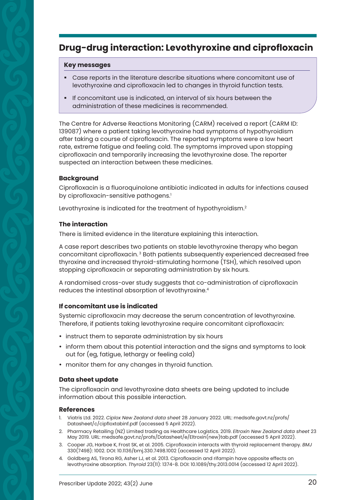## <span id="page-7-0"></span>**Drug-drug interaction: Levothyroxine and ciprofloxacin**

#### **Key messages**

- § Case reports in the literature describe situations where concomitant use of levothyroxine and ciprofloxacin led to changes in thyroid function tests.
- § If concomitant use is indicated, an interval of six hours between the administration of these medicines is recommended.

The Centre for Adverse Reactions Monitoring (CARM) received a report (CARM ID: 139087) where a patient taking levothyroxine had symptoms of hypothyroidism after taking a course of ciprofloxacin. The reported symptoms were a low heart rate, extreme fatigue and feeling cold. The symptoms improved upon stopping ciprofloxacin and temporarily increasing the levothyroxine dose. The reporter suspected an interaction between these medicines.

#### **Background**

Ciprofloxacin is a fluoroquinolone antibiotic indicated in adults for infections caused by ciprofloxacin-sensitive pathogens.<sup>1</sup>

Levothyroxine is indicated for the treatment of hypothyroidism.<sup>2</sup>

#### **The interaction**

There is limited evidence in the literature explaining this interaction.

A case report describes two patients on stable levothyroxine therapy who began concomitant ciprofloxacin. 3 Both patients subsequently experienced decreased free thyroxine and increased thyroid-stimulating hormone (TSH), which resolved upon stopping ciprofloxacin or separating administration by six hours.

A randomised cross-over study suggests that co-administration of ciprofloxacin reduces the intestinal absorption of levothyroxine.<sup>4</sup>

#### **If concomitant use is indicated**

Systemic ciprofloxacin may decrease the serum concentration of levothyroxine. Therefore, if patients taking levothyroxine require concomitant ciprofloxacin:

- instruct them to separate administration by six hours
- inform them about this potential interaction and the signs and symptoms to look out for (eg, fatigue, lethargy or feeling cold)
- monitor them for any changes in thyroid function.

#### **Data sheet update**

The ciprofloxacin and levothyroxine data sheets are being updated to include information about this possible interaction.

- 1. Viatris Ltd. 2022. *Ciplox New Zealand data sheet* 28 January 2022*.* URL: [medsafe.govt.nz/profs/](http://medsafe.govt.nz/profs/Datasheet/c/cipfloxtabinf.pdf) [Datasheet/c/cipfloxtabinf.pdf](http://medsafe.govt.nz/profs/Datasheet/c/cipfloxtabinf.pdf) (accessed 5 April 2022).
- 2. Pharmacy Retailing (NZ) Limited trading as Healthcare Logistics. 2019. *Eltroxin New Zealand data sheet* 23 May 2019*.* URL: [medsafe.govt.nz/profs/Datasheet/e/Eltroxin\(new\)tab.pdf](http://medsafe.govt.nz/profs/Datasheet/e/Eltroxin(new)tab.pdf) (accessed 5 April 2022).
- 3. Cooper JG, Harboe K, Frost SK, et al. 2005. Ciprofloxacin interacts with thyroid replacement therapy. *BMJ* 330(7498): 1002. DOI: 10.1136/bmj.330.7498.1002 (accessed 12 April 2022).
- 4. Goldberg AS, Tirona RG, Asher LJ, et al. 2013. Ciprofloxacin and rifampin have opposite effects on levothyroxine absorption. *Thyroid* 23(11): 1374-8. DOI: 10.1089/thy.2013.0014 (accessed 12 April 2022).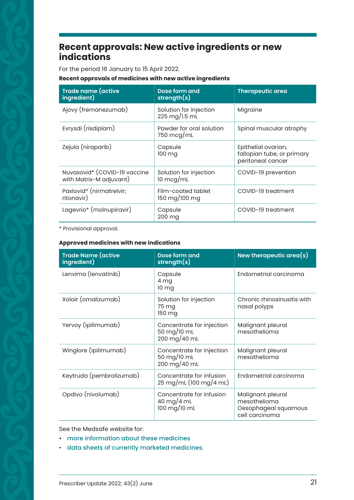## <span id="page-8-0"></span>**Recent approvals: New active ingredients or new indications**

For the period 16 January to 15 April 2022.

#### **Recent approvals of medicines with new active ingredients**

| <b>Trade name (active</b><br>ingredient)                | Dose form and<br>strength(s)                   | <b>Therapeutic area</b>                                                |
|---------------------------------------------------------|------------------------------------------------|------------------------------------------------------------------------|
| Ajovy (fremanezumab)                                    | Solution for injection<br>225 mg/l.5 ml        | Migraine                                                               |
| Evrysdi (risdiplam)                                     | Powder for oral solution<br>750 $mcq/mL$       | Spinal muscular atrophy                                                |
| Zejula (niraparib)                                      | Capsule<br>100 mg                              | Epithelial ovarian,<br>fallopian tube, or primary<br>peritoneal cancer |
| Nuvaxovid* (COVID-19 vaccine<br>with Matrix-M adjuvant) | Solution for injection<br>$10 \text{~m}$ cq/mL | COVID-19 prevention                                                    |
| Paxlovid* (nirmatrelvir;<br>ritonavir)                  | Film-coated tablet<br>150 mg/100 mg            | COVID-19 treatment                                                     |
| Lagevrio* (molnupiravir)                                | Capsule<br>200 mg                              | COVID-19 treatment                                                     |

\* Provisional approval.

#### **Approved medicines with new indications**

| <b>Trade Name (active</b><br>ingredient) | Dose form and<br>strength(s)                                               | New therapeutic area $(s)$                                                  |
|------------------------------------------|----------------------------------------------------------------------------|-----------------------------------------------------------------------------|
| Lenvima (lenvatinib)                     | Capsule<br>4 mg<br>10 mg                                                   | Endometrial carcinoma                                                       |
| Xolair (omalizumab)                      | Solution for injection<br>75 ma<br>150 mg                                  | Chronic rhinosinusitis with<br>nasal polyps                                 |
| Yervoy (ipilimumab)                      | Concentrate for injection<br>50 mg/10 mL<br>200 mg/40 mL                   | Malignant pleural<br>mesothelioma                                           |
| Winglore (ipilimumab)                    | Concentrate for injection<br>50 mg/10 mL<br>200 mg/40 mL                   | Malignant pleural<br>mesothelioma                                           |
| Keytruda (pembrolizumab)                 | Concentrate for infusion<br>$25 \,\mathrm{mg/mL}$ (100 mg/4 mL)            | Endometrial carcinoma                                                       |
| Opdivo (nivolumab)                       | Concentrate for infusion<br>40 mg/4 mL<br>$100 \text{ mg} / 10 \text{ mL}$ | Malignant pleural<br>mesothelioma<br>Oesophageal squamous<br>cell carcinoma |

See the Medsafe website for:

- [more information about these medicines](https://www.medsafe.govt.nz/regulatory/dbsearch.asp)
- [data sheets of currently marketed medicines](https://www.medsafe.govt.nz/Medicines/infoSearch.asp).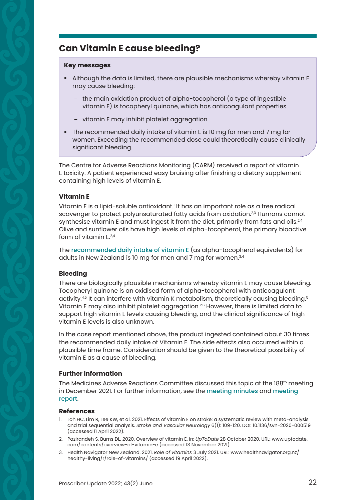## <span id="page-9-0"></span>**Can Vitamin E cause bleeding?**

#### **Key messages**

- § Although the data is limited, there are plausible mechanisms whereby vitamin E may cause bleeding:
	- the main oxidation product of alpha-tocopherol (a type of ingestible vitamin E) is tocopheryl quinone, which has anticoagulant properties
	- vitamin E may inhibit platelet aggregation.
- The recommended daily intake of vitamin E is 10 mg for men and 7 mg for women. Exceeding the recommended dose could theoretically cause clinically significant bleeding.

The Centre for Adverse Reactions Monitoring (CARM) received a report of vitamin E toxicity. A patient experienced easy bruising after finishing a dietary supplement containing high levels of vitamin E.

#### **Vitamin E**

Vitamin E is a lipid-soluble antioxidant.<sup>1</sup> It has an important role as a free radical scavenger to protect polyunsaturated fatty acids from oxidation.<sup>2,3</sup> Humans cannot synthesise vitamin E and must ingest it from the diet, primarily from fats and oils. $24$ Olive and sunflower oils have high levels of alpha-tocopherol, the primary bioactive form of vitamin  $F^{2,4}$ 

The [recommended daily intake of vitamin E](https://www.healthnavigator.org.nz/healthy-living/r/role-of-vitamins/) (as alpha-tocopherol equivalents) for adults in New Zealand is 10 mg for men and 7 mg for women.<sup>3,4</sup>

#### **Bleeding**

There are biologically plausible mechanisms whereby vitamin E may cause bleeding. Tocopheryl quinone is an oxidised form of alpha-tocopherol with anticoagulant activity.4,5 It can interfere with vitamin K metabolism, theoretically causing bleeding.5 Vitamin E may also inhibit platelet aggregation.<sup>2,6</sup> However, there is limited data to support high vitamin E levels causing bleeding, and the clinical significance of high vitamin E levels is also unknown.

In the case report mentioned above, the product ingested contained about 30 times the recommended daily intake of Vitamin E. The side effects also occurred within a plausible time frame. Consideration should be given to the theoretical possibility of vitamin E as a cause of bleeding.

#### **Further information**

The Medicines Adverse Reactions Committee discussed this topic at the 188th meeting in December 2021. For further information, see the [meeting minutes](https://www.medsafe.govt.nz/profs/adverse/Minutes188.htm) and [meeting](https://www.medsafe.govt.nz/committees/MARC/Reports.asp)  [report](https://www.medsafe.govt.nz/committees/MARC/Reports.asp).

- 1. Loh HC, Lim R, Lee KW, et al. 2021. Effects of vitamin E on stroke: a systematic review with meta-analysis and trial sequential analysis. *Stroke and Vascular Neurology* 6(1): 109-120. DOI: 10.1136/svn-2020-000519 (accessed 11 April 2022).
- 2. Pazirandeh S, Burns DL. 2020. Overview of vitamin E. In: *UpToDate* 28 October 2020. URL: [www.uptodate.](http://www.uptodate.com/contents/overview-of-vitamin-e) [com/contents/overview-of-vitamin-e](http://www.uptodate.com/contents/overview-of-vitamin-e) (accessed 13 November 2021).
- 3. Health Navigator New Zealand. 2021. *Role of vitamins* [3 July 2021. URL: www.healthnavigator.org.nz/](https://www.healthnavigator.org.nz/healthy-living/r/role-of-vitamins/) healthy-living/r/role-of-vitamins/ (accessed 19 April 2022).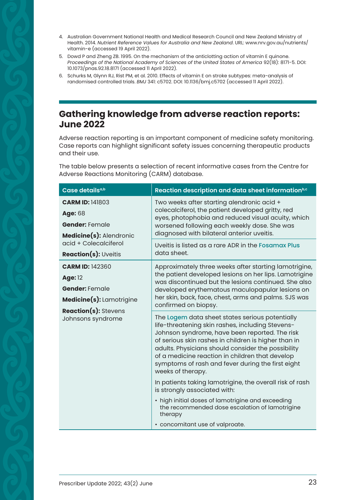- <span id="page-10-0"></span>4. Australian Government National Health and Medical Research Council and New Zealand Ministry of Health. 2014. *Nutrient Reference Values for Australia and New Zealand*. URL: [www.nrv.gov.au/nutrients/](http://www.nrv.gov.au/nutrients/vitamin-e) [vitamin-e](http://www.nrv.gov.au/nutrients/vitamin-e) (accessed 19 April 2022).
- 5. Dowd P and Zheng ZB. 1995. On the mechanism of the anticlotting action of vitamin E quinone. *Proceedings of the National Academy of Sciences of the United States of America* 92(18): 8171-5. DOI: 10.1073/pnas.92.18.8171 (accessed 11 April 2022).
- 6. Schurks M, Glynn RJ, Rist PM, et al. 2010. Effects of vitamin E on stroke subtypes: meta-analysis of randomised controlled trials. *BMJ* 341: c5702. DOI: 10.1136/bmj.c5702 (accessed 11 April 2022).

## **Gathering knowledge from adverse reaction reports: June 2022**

Adverse reaction reporting is an important component of medicine safety monitoring. Case reports can highlight significant safety issues concerning therapeutic products and their use.

The table below presents a selection of recent informative cases from the Centre for Adverse Reactions Monitoring (CARM) database.

| Case details <sup>a,b</sup>                                                                                                                              | Reaction description and data sheet information <sup>b,c</sup>                                                                                                                                                                                                                                                                                                                                                                                                                               |
|----------------------------------------------------------------------------------------------------------------------------------------------------------|----------------------------------------------------------------------------------------------------------------------------------------------------------------------------------------------------------------------------------------------------------------------------------------------------------------------------------------------------------------------------------------------------------------------------------------------------------------------------------------------|
| <b>CARM ID: 141803</b><br><b>Age: 68</b><br><b>Gender:</b> Female<br><b>Medicine(s): Alendronic</b><br>acid + Colecalciferol<br>Reaction(s): Uveitis     | Two weeks after starting alendronic acid +<br>colecalciferol, the patient developed gritty, red<br>eyes, photophobia and reduced visual acuity, which<br>worsened following each weekly dose. She was<br>diagnosed with bilateral anterior uveitis.                                                                                                                                                                                                                                          |
|                                                                                                                                                          | Uveitis is listed as a rare ADR in the Fosamax Plus<br>data sheet.                                                                                                                                                                                                                                                                                                                                                                                                                           |
| <b>CARM ID: 142360</b><br><b>Age: 12</b><br><b>Gender: Female</b><br><b>Medicine(s): Lamotrigine</b><br><b>Reaction(s): Stevens</b><br>Johnsons syndrome | Approximately three weeks after starting lamotrigine,<br>the patient developed lesions on her lips. Lamotrigine<br>was discontinued but the lesions continued. She also<br>developed erythematous maculopapular lesions on<br>her skin, back, face, chest, arms and palms. SJS was<br>confirmed on biopsy.                                                                                                                                                                                   |
|                                                                                                                                                          | The Logem data sheet states serious potentially<br>life-threatening skin rashes, including Stevens-<br>Johnson syndrome, have been reported. The risk<br>of serious skin rashes in children is higher than in<br>adults. Physicians should consider the possibility<br>of a medicine reaction in children that develop<br>symptoms of rash and fever during the first eight<br>weeks of therapy.<br>In patients taking lamotrigine, the overall risk of rash<br>is strongly associated with: |
|                                                                                                                                                          | • high initial doses of lamotrigine and exceeding<br>the recommended dose escalation of lamotrigine<br>therapy<br>• concomitant use of valproate.                                                                                                                                                                                                                                                                                                                                            |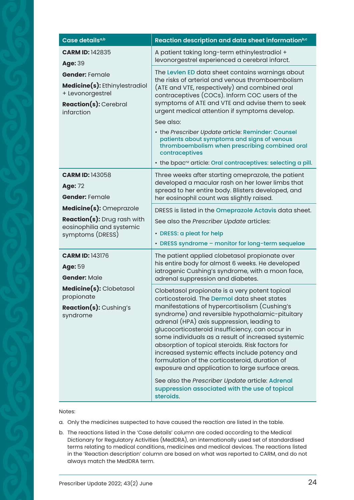| Case details <sup>a,b</sup>                                                                                                                                          | Reaction description and data sheet information <sup>b,c</sup>                                                                                                                                                                                                                                                                                                                                                                                                                                                                                                                                                                                                                          |
|----------------------------------------------------------------------------------------------------------------------------------------------------------------------|-----------------------------------------------------------------------------------------------------------------------------------------------------------------------------------------------------------------------------------------------------------------------------------------------------------------------------------------------------------------------------------------------------------------------------------------------------------------------------------------------------------------------------------------------------------------------------------------------------------------------------------------------------------------------------------------|
| <b>CARM ID: 142835</b><br>Age: 39<br><b>Gender: Female</b><br><b>Medicine(s):</b> Ethinylestradiol<br>+ Levonorgestrel<br><b>Reaction(s): Cerebral</b><br>infarction | A patient taking long-term ethinylestradiol +<br>levonorgestrel experienced a cerebral infarct.                                                                                                                                                                                                                                                                                                                                                                                                                                                                                                                                                                                         |
|                                                                                                                                                                      | The Levlen ED data sheet contains warnings about<br>the risks of arterial and venous thromboembolism<br>(ATE and VTE, respectively) and combined oral<br>contraceptives (COCs). Inform COC users of the<br>symptoms of ATE and VTE and advise them to seek<br>urgent medical attention if symptoms develop.<br>See also:<br>• the Prescriber Update article: Reminder: Counsel<br>patients about symptoms and signs of venous<br>thromboembolism when prescribing combined oral<br>contraceptives<br>• the bpac <sup>nz</sup> article: Oral contraceptives: selecting a pill.                                                                                                           |
| <b>CARM ID: 143058</b><br><b>Age: 72</b><br><b>Gender: Female</b>                                                                                                    | Three weeks after starting omeprazole, the patient<br>developed a macular rash on her lower limbs that<br>spread to her entire body. Blisters developed, and<br>her eosinophil count was slightly raised.                                                                                                                                                                                                                                                                                                                                                                                                                                                                               |
| Medicine(s): Omeprazole<br><b>Reaction(s):</b> Drug rash with<br>eosinophilia and systemic<br>symptoms (DRESS)                                                       | DRESS is listed in the Omeprazole Actavis data sheet.<br>See also the Prescriber Update articles:<br>• DRESS: a pleat for help<br>• DRESS syndrome - monitor for long-term sequelae                                                                                                                                                                                                                                                                                                                                                                                                                                                                                                     |
| <b>CARM ID: 143176</b><br>Age: 59<br><b>Gender: Male</b><br>Medicine(s): Clobetasol<br>propionate<br><b>Reaction(s):</b> Cushing's<br>syndrome                       | The patient applied clobetasol propionate over<br>his entire body for almost 6 weeks. He developed<br>iatrogenic Cushing's syndrome, with a moon face,<br>adrenal suppression and diabetes.                                                                                                                                                                                                                                                                                                                                                                                                                                                                                             |
|                                                                                                                                                                      | Clobetasol propionate is a very potent topical<br>corticosteroid. The Dermol data sheet states<br>manifestations of hypercortisolism (Cushing's<br>syndrome) and reversible hypothalamic-pituitary<br>adrenal (HPA) axis suppression, leading to<br>glucocorticosteroid insufficiency, can occur in<br>some individuals as a result of increased systemic<br>absorption of topical steroids. Risk factors for<br>increased systemic effects include potency and<br>formulation of the corticosteroid, duration of<br>exposure and application to large surface areas.<br>See also the Prescriber Update article: Adrenal<br>suppression associated with the use of topical<br>steroids. |

#### Notes:

- a. Only the medicines suspected to have caused the reaction are listed in the table.
- b. The reactions listed in the 'Case details' column are coded according to the Medical Dictionary for Regulatory Activities (MedDRA), an internationally used set of standardised terms relating to medical conditions, medicines and medical devices. The reactions listed in the 'Reaction description' column are based on what was reported to CARM, and do not always match the MedDRA term.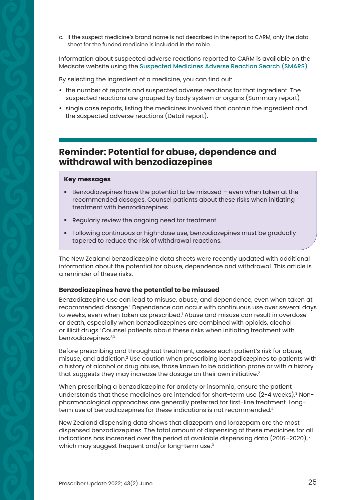<span id="page-12-0"></span>c. If the suspect medicine's brand name is not described in the report to CARM, only the data sheet for the funded medicine is included in the table.

Information about suspected adverse reactions reported to CARM is available on the Medsafe website using the [Suspected Medicines Adverse Reaction Search \(SMARS\)](http://www.medsafe.govt.nz/Projects/B1/ADRSearch.asp).

By selecting the ingredient of a medicine, you can find out:

- the number of reports and suspected adverse reactions for that ingredient. The suspected reactions are grouped by body system or organs (Summary report)
- single case reports, listing the medicines involved that contain the ingredient and the suspected adverse reactions (Detail report).

## **Reminder: Potential for abuse, dependence and withdrawal with benzodiazepines**

#### **Key messages**

- Benzodiazepines have the potential to be misused even when taken at the recommended dosages. Counsel patients about these risks when initiating treatment with benzodiazepines.
- Regularly review the ongoing need for treatment.
- § Following continuous or high-dose use, benzodiazepines must be gradually tapered to reduce the risk of withdrawal reactions.

The New Zealand benzodiazepine data sheets were recently updated with additional information about the potential for abuse, dependence and withdrawal. This article is a reminder of these risks.

#### **Benzodiazepines have the potential to be misused**

Benzodiazepine use can lead to misuse, abuse, and dependence, even when taken at recommended dosage.<sup>1</sup> Dependence can occur with continuous use over several days to weeks, even when taken as prescribed.' Abuse and misuse can result in overdose or death, especially when benzodiazepines are combined with opioids, alcohol or illicit drugs.1 Counsel patients about these risks when initiating treatment with benzodiazepines.<sup>2,3</sup>

Before prescribing and throughout treatment, assess each patient's risk for abuse, misuse, and addiction.2 Use caution when prescribing benzodiazepines to patients with a history of alcohol or drug abuse, those known to be addiction prone or with a history that suggests they may increase the dosage on their own initiative.<sup>2</sup>

When prescribing a benzodiazepine for anxiety or insomnia, ensure the patient understands that these medicines are intended for short-term use (2-4 weeks).<sup>3</sup> Nonpharmacological approaches are generally preferred for first-line treatment. Longterm use of benzodiazepines for these indications is not recommended.<sup>4</sup>

New Zealand dispensing data shows that diazepam and lorazepam are the most dispensed benzodiazepines. The total amount of dispensing of these medicines for all indications has increased over the period of available dispensing data  $(2016-2020)^5$ which may suggest frequent and/or long-term use.<sup>3</sup>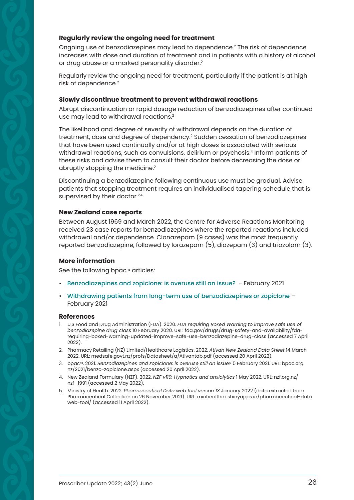#### **Regularly review the ongoing need for treatment**

Ongoing use of benzodiazepines may lead to dependence.2 The risk of dependence increases with dose and duration of treatment and in patients with a history of alcohol or drug abuse or a marked personality disorder.2

Regularly review the ongoing need for treatment, particularly if the patient is at high risk of dependence.2

#### **Slowly discontinue treatment to prevent withdrawal reactions**

Abrupt discontinuation or rapid dosage reduction of benzodiazepines after continued use may lead to withdrawal reactions.<sup>2</sup>

The likelihood and degree of severity of withdrawal depends on the duration of treatment, dose and degree of dependency.2 Sudden cessation of benzodiazepines that have been used continually and/or at high doses is associated with serious withdrawal reactions, such as convulsions, delirium or psychosis.4 Inform patients of these risks and advise them to consult their doctor before decreasing the dose or abruptly stopping the medicine.<sup>2</sup>

Discontinuing a benzodiazepine following continuous use must be gradual. Advise patients that stopping treatment requires an individualised tapering schedule that is supervised by their doctor.<sup>2,4</sup>

#### **New Zealand case reports**

Between August 1969 and March 2022, the Centre for Adverse Reactions Monitoring received 23 case reports for benzodiazepines where the reported reactions included withdrawal and/or dependence. Clonazepam (9 cases) was the most frequently reported benzodiazepine, followed by lorazepam (5), diazepam (3) and triazolam (3).

#### **More information**

See the following bpac<sup>nz</sup> articles:

- [Benzodiazepines and zopiclone: is overuse still an issue?](https://bpac.org.nz/2021/docs/benzo-zopiclone.pdf) February 2021
- [Withdrawing patients from long-term use of benzodiazepines or zopiclone](https://bpac.org.nz/2021/docs/benzo.pdf) February 2021

- 1. U.S Food and Drug Administration (FDA). 2020. *FDA requiring Boxed Warning to improve safe use of benzodiazepine drug class* 10 February 2020. URL: fda.gov/drugs/drug-safety-and-availability/fda[requiring-boxed-warning-updated-improve-safe-use-benzodiazepine-drug-class \(accessed 7 Ap](https://www.fda.gov/drugs/drug-safety-and-availability/fda-requiring-boxed-warning-updated-improve-safe-use-benzodiazepine-drug-class)ril 2022).
- 2. Pharmacy Retailing (NZ) Limited/Healthcare Logistics. 2022. *Ativan New Zealand Data Sheet* 14 March 2022. URL: [medsafe.govt.nz/profs/Datasheet/a/Ativantab.pdf](http://medsafe.govt.nz/profs/Datasheet/a/Ativantab.pdf) (accessed 20 April 2022).
- 3. bpac<sup>nz</sup>. 2021. *Benzodiazepines and zopiclone: is overuse still an issue*? 5 February 2021. URL: bpac.org. [nz/2021/benzo-zopiclone.aspx \(accessed 20 April 2022\).](https://bpac.org.nz/2021/benzo-zopiclone.aspx)
- 4. New Zealand Formulary (NZF). 2022. *NZF v119: Hypnotics and anxiolytics* 1 May 2022. URL: [nzf.org.nz/](http://nzf.org.nz/nzf_1991) [nzf\\_1991](http://nzf.org.nz/nzf_1991) (accessed 2 May 2022).
- 5. Ministry of Health. 2022. *Pharmaceutical Data web tool verson 13* January 2022 (data extracted from [Pharmaceutical Collection on 26 November 2021\). URL: minhealthnz.shinyapps.io/pharmaceutical-data](https://minhealthnz.shinyapps.io/pharmaceutical-data-web-tool/)  web-tool/ (accessed 11 April 2022).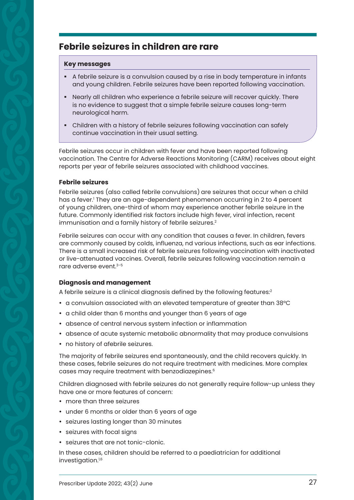## <span id="page-14-0"></span>**Febrile seizures in children are rare**

#### **Key messages**

- A febrile seizure is a convulsion caused by a rise in body temperature in infants and young children. Febrile seizures have been reported following vaccination.
- § Nearly all children who experience a febrile seizure will recover quickly. There is no evidence to suggest that a simple febrile seizure causes long-term neurological harm.
- § Children with a history of febrile seizures following vaccination can safely continue vaccination in their usual setting.

Febrile seizures occur in children with fever and have been reported following vaccination. The Centre for Adverse Reactions Monitoring (CARM) receives about eight reports per year of febrile seizures associated with childhood vaccines.

#### **Febrile seizures**

Febrile seizures (also called febrile convulsions) are seizures that occur when a child has a fever.' They are an age-dependent phenomenon occurring in 2 to 4 percent of young children, one-third of whom may experience another febrile seizure in the future. Commonly identified risk factors include high fever, viral infection, recent immunisation and a family history of febrile seizures.<sup>2</sup>

Febrile seizures can occur with any condition that causes a fever. In children, fevers are commonly caused by colds, influenza, nd various infections, such as ear infections. There is a small increased risk of febrile seizures following vaccination with inactivated or live-attenuated vaccines. Overall, febrile seizures following vaccination remain a rare adverse event.3–5

#### **Diagnosis and management**

A febrile seizure is a clinical diagnosis defined by the following features:<sup>2</sup>

- a convulsion associated with an elevated temperature of greater than 38°C
- a child older than 6 months and younger than 6 years of age
- absence of central nervous system infection or inflammation
- absence of acute systemic metabolic abnormality that may produce convulsions
- no history of afebrile seizures.

The majority of febrile seizures end spontaneously, and the child recovers quickly. In these cases, febrile seizures do not require treatment with medicines. More complex cases may require treatment with benzodiazepines.6

Children diagnosed with febrile seizures do not generally require follow-up unless they have one or more features of concern:

- more than three seizures
- under 6 months or older than 6 years of age
- seizures lasting longer than 30 minutes
- seizures with focal signs
- seizures that are not tonic-clonic.

In these cases, children should be referred to a paediatrician for additional investigation.<sup>1,6</sup>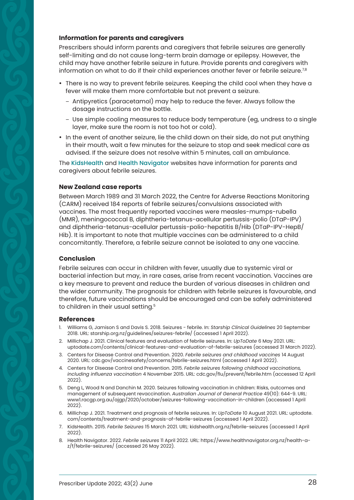#### **Information for parents and caregivers**

Prescribers should inform parents and caregivers that febrile seizures are generally self-limiting and do not cause long-term brain damage or epilepsy. However, the child may have another febrile seizure in future. Provide parents and caregivers with information on what to do if their child experiences another fever or febrile seizure.<sup>7,8</sup>

- There is no way to prevent febrile seizures. Keeping the child cool when they have a fever will make them more comfortable but not prevent a seizure.
	- Antipyretics (paracetamol) may help to reduce the fever. Always follow the dosage instructions on the bottle.
	- Use simple cooling measures to reduce body temperature (eg, undress to a single layer, make sure the room is not too hot or cold).
- In the event of another seizure, lie the child down on their side, do not put anything in their mouth, wait a few minutes for the seizure to stop and seek medical care as advised. If the seizure does not resolve within 5 minutes, call an ambulance.

The [KidsHealth](https://www.kidshealth.org.nz/febrile-seizures) and [Health Navigator](https://www.healthnavigator.org.nz/health-a-z/f/febrile-seizures/) websites have information for parents and caregivers about febrile seizures.

#### **New Zealand case reports**

Between March 1989 and 31 March 2022, the Centre for Adverse Reactions Monitoring (CARM) received 184 reports of febrile seizures/convulsions associated with vaccines. The most frequently reported vaccines were measles-mumps-rubella (MMR), meningococcal B, diphtheria-tetanus-acellular pertussis-polio (DTaP-IPV) and diphtheria-tetanus-acellular pertussis-polio-hepatitis B/Hib (DTaP-IPV-HepB/ Hib). It is important to note that multiple vaccines can be administered to a child concomitantly. Therefore, a febrile seizure cannot be isolated to any one vaccine.

#### **Conclusion**

Febrile seizures can occur in children with fever, usually due to systemic viral or bacterial infection but may, in rare cases, arise from recent vaccination. Vaccines are a key measure to prevent and reduce the burden of various diseases in children and the wider community. The prognosis for children with febrile seizures is favourable, and therefore, future vaccinations should be encouraged and can be safely administered to children in their usual setting.<sup>5</sup>

- 1. Williams G, Jamison S and Davis S. 2018. Seizures febrile. In: *Starship Clinical Guidelines* 20 September 2018. URL: [starship.org.nz/guidelines/seizures-febrile/](http://starship.org.nz/guidelines/seizures-febrile/) (accessed 1 April 2022).
- 2. Millichap J. 2021. Clinical features and evaluation of febrile seizures. In: *UpToDate* 6 May 2021. URL: [uptodate.com/contents/clinical-features-and-evaluation-of-febrile-seizures](http://uptodate.com/contents/clinical-features-and-evaluation-of-febrile-seizures) (accessed 31 March 2022).
- 3. Centers for Disease Control and Prevention. 2020. *Febrile seizures and childhood vaccines* 14 August 2020. URL: [cdc.gov/vaccinesafety/concerns/febrile-seizures.html](http://cdc.gov/vaccinesafety/concerns/febrile-seizures.html) (accessed 1 April 2022).
- 4. Centers for Disease Control and Prevention. 2015. *Febrile seizures following childhood vaccinations, including influenza vaccination* 4 November 2015. URL: [cdc.gov/flu/prevent/febrile.htm](http://cdc.gov/flu/prevent/febrile.htm) (accessed 12 April 2022).
- 5. Deng L, Wood N and Danchin M. 2020. Seizures following vaccination in children: Risks, outcomes and management of subsequent revaccination. *Australian Journal of General Practice* 49(10): 644-9. URL: [www1.racgp.org.au/ajgp/2020/october/seizures-following-vaccination-in-children](http://www1.racgp.org.au/ajgp/2020/october/seizures-following-vaccination-in-children) (accessed 1 April 2022).
- 6. Millichap J. 2021. Treatment and prognosis of febrile seizures. In: *UpToDate* 10 August 2021. URL: [uptodate.](http://uptodate.com/contents/treatment-and-prognosis-of-febrile-seizures) [com/contents/treatment-and-prognosis-of-febrile-seizures](http://uptodate.com/contents/treatment-and-prognosis-of-febrile-seizures) (accessed 1 April 2022).
- 7. KidsHealth. 2015. *Febrile Seizures* 15 March 2021. URL: [kidshealth.org.nz/febrile-seizures](http://kidshealth.org.nz/febrile-seizures) (accessed 1 April 2022).
- 8. Health Navigator. 2022. *Febrile seizures* 11 April 2022*.* URL: [https://www.healthnavigator.org.nz/health-a](https://www.healthnavigator.org.nz/health-a-z/f/febrile-seizures/)[z/f/febrile-seizures/](https://www.healthnavigator.org.nz/health-a-z/f/febrile-seizures/) (accessed 26 May 2022).